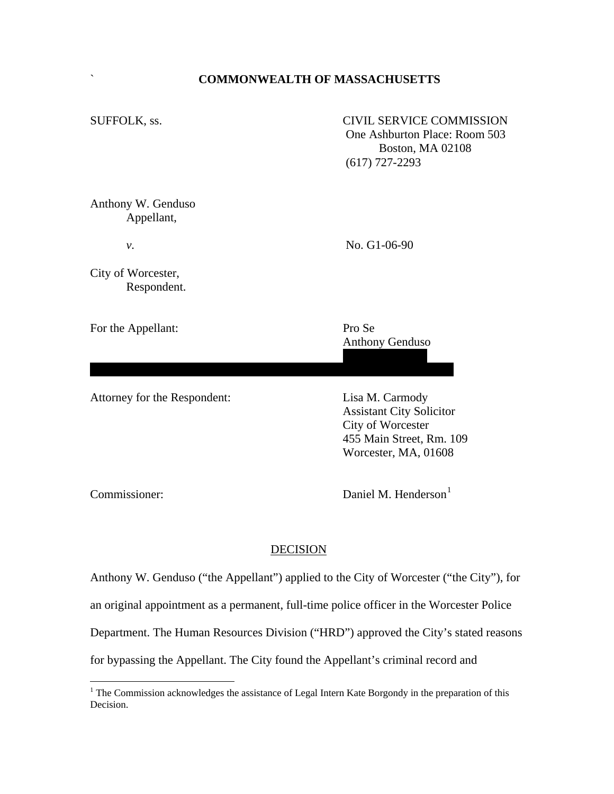## ` **COMMONWEALTH OF MASSACHUSETTS**

SUFFOLK, ss. CIVIL SERVICE COMMISSION One Ashburton Place: Room 503 Boston, MA 02108 (617) 727-2293

Anthony W. Genduso Appellant,

*v*. No. G1-06-90

City of Worcester, Respondent.

For the Appellant: Pro Se

Anthony Genduso

Attorney for the Respondent: Lisa M. Carmody

 Assistant City Solicitor City of Worcester 455 Main Street, Rm. 109 Worcester, MA, 01608

Commissioner: Daniel M. Henderson<sup>[1](#page-0-0)</sup>

## DECISION

45 Morgan Street

Anthony W. Genduso ("the Appellant") applied to the City of Worcester ("the City"), for an original appointment as a permanent, full-time police officer in the Worcester Police Department. The Human Resources Division ("HRD") approved the City's stated reasons for bypassing the Appellant. The City found the Appellant's criminal record and

<span id="page-0-0"></span><sup>&</sup>lt;sup>1</sup> The Commission acknowledges the assistance of Legal Intern Kate Borgondy in the preparation of this Decision.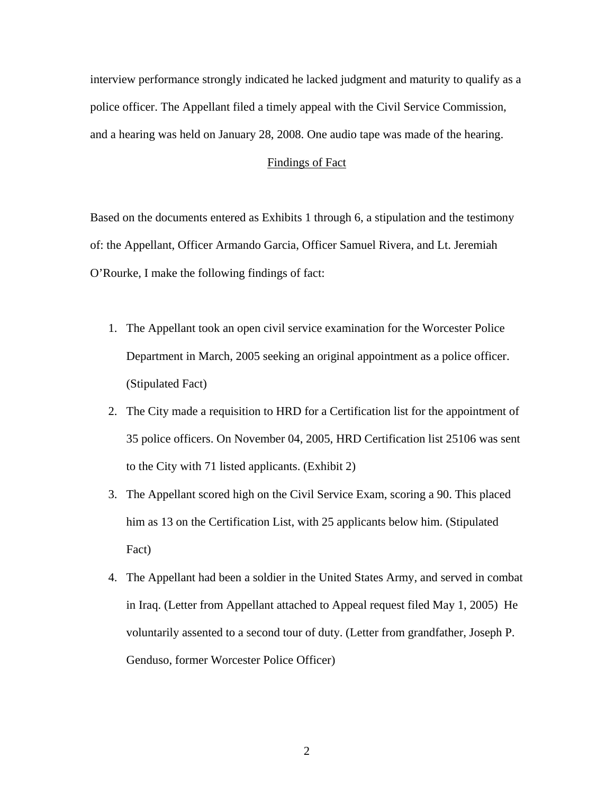interview performance strongly indicated he lacked judgment and maturity to qualify as a police officer. The Appellant filed a timely appeal with the Civil Service Commission, and a hearing was held on January 28, 2008. One audio tape was made of the hearing.

## Findings of Fact

Based on the documents entered as Exhibits 1 through 6, a stipulation and the testimony of: the Appellant, Officer Armando Garcia, Officer Samuel Rivera, and Lt. Jeremiah O'Rourke, I make the following findings of fact:

- 1. The Appellant took an open civil service examination for the Worcester Police Department in March, 2005 seeking an original appointment as a police officer. (Stipulated Fact)
- 2. The City made a requisition to HRD for a Certification list for the appointment of 35 police officers. On November 04, 2005, HRD Certification list 25106 was sent to the City with 71 listed applicants. (Exhibit 2)
- 3. The Appellant scored high on the Civil Service Exam, scoring a 90. This placed him as 13 on the Certification List, with 25 applicants below him. (Stipulated Fact)
- 4. The Appellant had been a soldier in the United States Army, and served in combat in Iraq. (Letter from Appellant attached to Appeal request filed May 1, 2005) He voluntarily assented to a second tour of duty. (Letter from grandfather, Joseph P. Genduso, former Worcester Police Officer)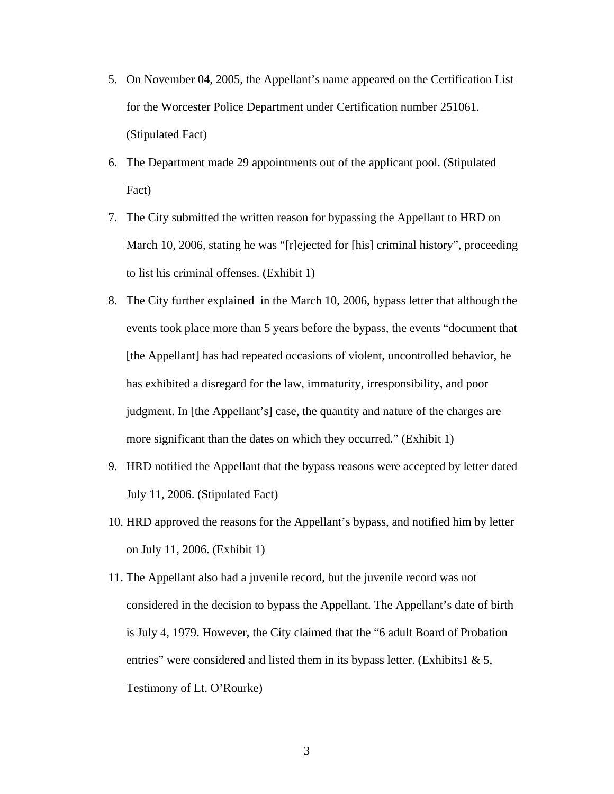- 5. On November 04, 2005, the Appellant's name appeared on the Certification List for the Worcester Police Department under Certification number 251061. (Stipulated Fact)
- 6. The Department made 29 appointments out of the applicant pool. (Stipulated Fact)
- 7. The City submitted the written reason for bypassing the Appellant to HRD on March 10, 2006, stating he was "[r]ejected for [his] criminal history", proceeding to list his criminal offenses. (Exhibit 1)
- 8. The City further explained in the March 10, 2006, bypass letter that although the events took place more than 5 years before the bypass, the events "document that [the Appellant] has had repeated occasions of violent, uncontrolled behavior, he has exhibited a disregard for the law, immaturity, irresponsibility, and poor judgment. In [the Appellant's] case, the quantity and nature of the charges are more significant than the dates on which they occurred." (Exhibit 1)
- 9. HRD notified the Appellant that the bypass reasons were accepted by letter dated July 11, 2006. (Stipulated Fact)
- 10. HRD approved the reasons for the Appellant's bypass, and notified him by letter on July 11, 2006. (Exhibit 1)
- 11. The Appellant also had a juvenile record, but the juvenile record was not considered in the decision to bypass the Appellant. The Appellant's date of birth is July 4, 1979. However, the City claimed that the "6 adult Board of Probation entries" were considered and listed them in its bypass letter. (Exhibits1  $\& 5$ , Testimony of Lt. O'Rourke)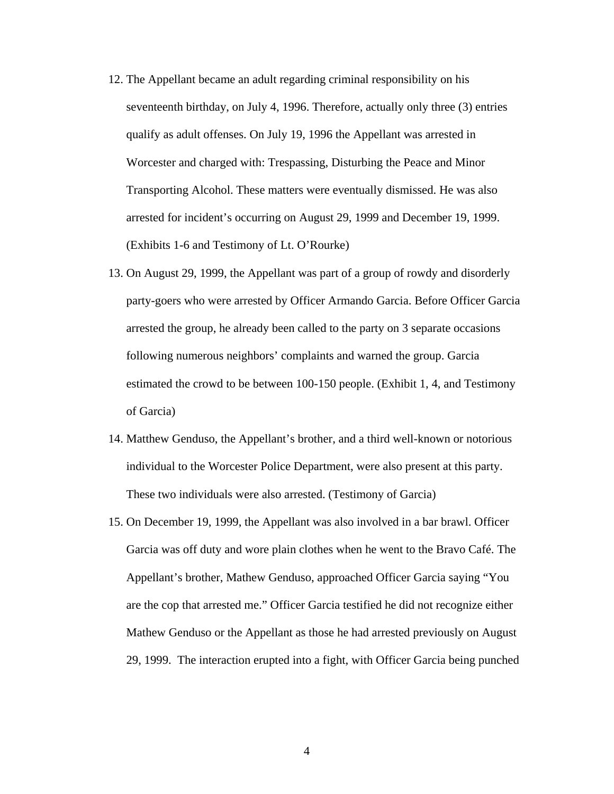- 12. The Appellant became an adult regarding criminal responsibility on his seventeenth birthday, on July 4, 1996. Therefore, actually only three (3) entries qualify as adult offenses. On July 19, 1996 the Appellant was arrested in Worcester and charged with: Trespassing, Disturbing the Peace and Minor Transporting Alcohol. These matters were eventually dismissed. He was also arrested for incident's occurring on August 29, 1999 and December 19, 1999. (Exhibits 1-6 and Testimony of Lt. O'Rourke)
- 13. On August 29, 1999, the Appellant was part of a group of rowdy and disorderly party-goers who were arrested by Officer Armando Garcia. Before Officer Garcia arrested the group, he already been called to the party on 3 separate occasions following numerous neighbors' complaints and warned the group. Garcia estimated the crowd to be between 100-150 people. (Exhibit 1, 4, and Testimony of Garcia)
- 14. Matthew Genduso, the Appellant's brother, and a third well-known or notorious individual to the Worcester Police Department, were also present at this party. These two individuals were also arrested. (Testimony of Garcia)
- 15. On December 19, 1999, the Appellant was also involved in a bar brawl. Officer Garcia was off duty and wore plain clothes when he went to the Bravo Café. The Appellant's brother, Mathew Genduso, approached Officer Garcia saying "You are the cop that arrested me." Officer Garcia testified he did not recognize either Mathew Genduso or the Appellant as those he had arrested previously on August 29, 1999. The interaction erupted into a fight, with Officer Garcia being punched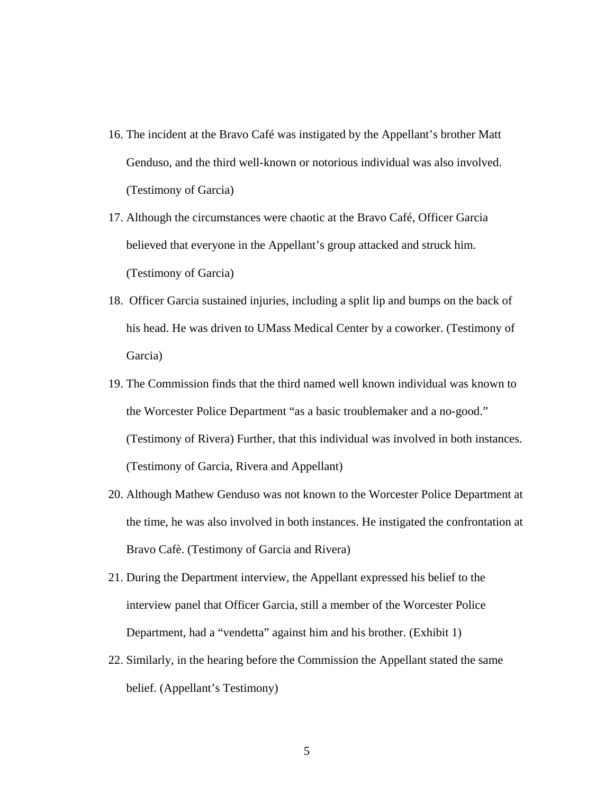- 16. The incident at the Bravo Café was instigated by the Appellant's brother Matt Genduso, and the third well-known or notorious individual was also involved. (Testimony of Garcia)
- 17. Although the circumstances were chaotic at the Bravo Café, Officer Garcia believed that everyone in the Appellant's group attacked and struck him. (Testimony of Garcia)
- 18. Officer Garcia sustained injuries, including a split lip and bumps on the back of his head. He was driven to UMass Medical Center by a coworker. (Testimony of Garcia)
- 19. The Commission finds that the third named well known individual was known to the Worcester Police Department "as a basic troublemaker and a no-good." (Testimony of Rivera) Further, that this individual was involved in both instances. (Testimony of Garcia, Rivera and Appellant)
- 20. Although Mathew Genduso was not known to the Worcester Police Department at the time, he was also involved in both instances. He instigated the confrontation at Bravo Cafè. (Testimony of Garcia and Rivera)
- 21. During the Department interview, the Appellant expressed his belief to the interview panel that Officer Garcia, still a member of the Worcester Police Department, had a "vendetta" against him and his brother. (Exhibit 1)
- 22. Similarly, in the hearing before the Commission the Appellant stated the same belief. (Appellant's Testimony)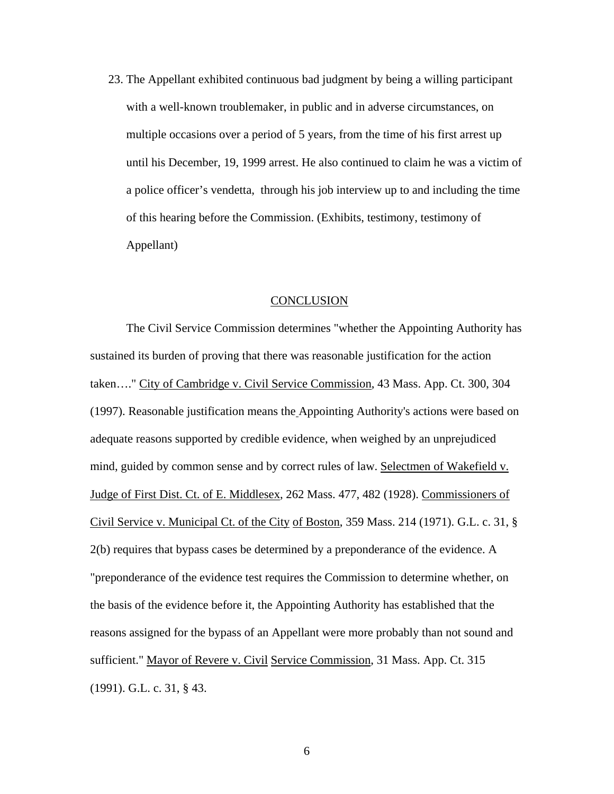23. The Appellant exhibited continuous bad judgment by being a willing participant with a well-known troublemaker, in public and in adverse circumstances, on multiple occasions over a period of 5 years, from the time of his first arrest up until his December, 19, 1999 arrest. He also continued to claim he was a victim of a police officer's vendetta, through his job interview up to and including the time of this hearing before the Commission. (Exhibits, testimony, testimony of Appellant)

## **CONCLUSION**

 The Civil Service Commission determines "whether the Appointing Authority has sustained its burden of proving that there was reasonable justification for the action taken…." City of Cambridge v. Civil Service Commission, 43 Mass. App. Ct. 300, 304 (1997). Reasonable justification means the Appointing Authority's actions were based on adequate reasons supported by credible evidence, when weighed by an unprejudiced mind, guided by common sense and by correct rules of law. Selectmen of Wakefield v. Judge of First Dist. Ct. of E. Middlesex, 262 Mass. 477, 482 (1928). Commissioners of Civil Service v. Municipal Ct. of the City of Boston, 359 Mass. 214 (1971). G.L. c. 31, § 2(b) requires that bypass cases be determined by a preponderance of the evidence. A "preponderance of the evidence test requires the Commission to determine whether, on the basis of the evidence before it, the Appointing Authority has established that the reasons assigned for the bypass of an Appellant were more probably than not sound and sufficient." Mayor of Revere v. Civil Service Commission, 31 Mass. App. Ct. 315 (1991). G.L. c. 31, § 43.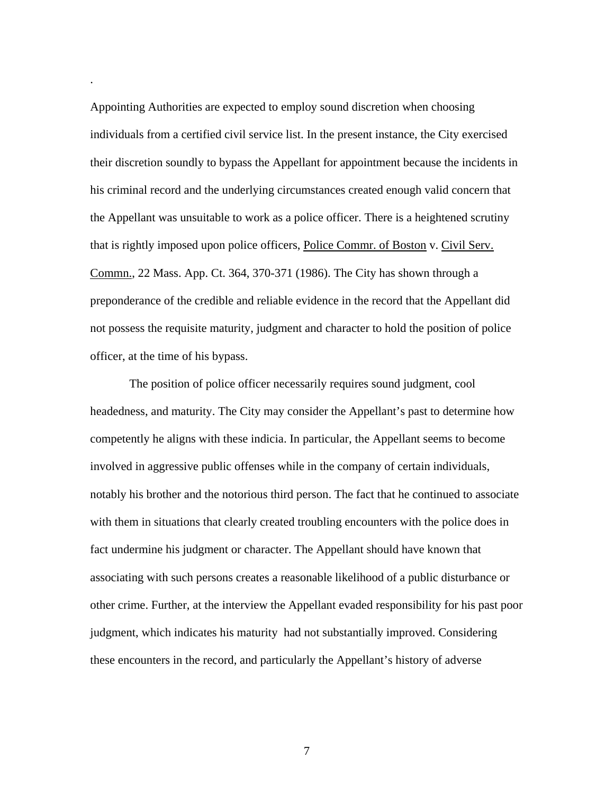Appointing Authorities are expected to employ sound discretion when choosing individuals from a certified civil service list. In the present instance, the City exercised their discretion soundly to bypass the Appellant for appointment because the incidents in his criminal record and the underlying circumstances created enough valid concern that the Appellant was unsuitable to work as a police officer. There is a heightened scrutiny that is rightly imposed upon police officers, Police Commr. of Boston v. Civil Serv. Commn., 22 Mass. App. Ct. 364, 370-371 (1986). The City has shown through a preponderance of the credible and reliable evidence in the record that the Appellant did not possess the requisite maturity, judgment and character to hold the position of police officer, at the time of his bypass.

.

 The position of police officer necessarily requires sound judgment, cool headedness, and maturity. The City may consider the Appellant's past to determine how competently he aligns with these indicia. In particular, the Appellant seems to become involved in aggressive public offenses while in the company of certain individuals, notably his brother and the notorious third person. The fact that he continued to associate with them in situations that clearly created troubling encounters with the police does in fact undermine his judgment or character. The Appellant should have known that associating with such persons creates a reasonable likelihood of a public disturbance or other crime. Further, at the interview the Appellant evaded responsibility for his past poor judgment, which indicates his maturity had not substantially improved. Considering these encounters in the record, and particularly the Appellant's history of adverse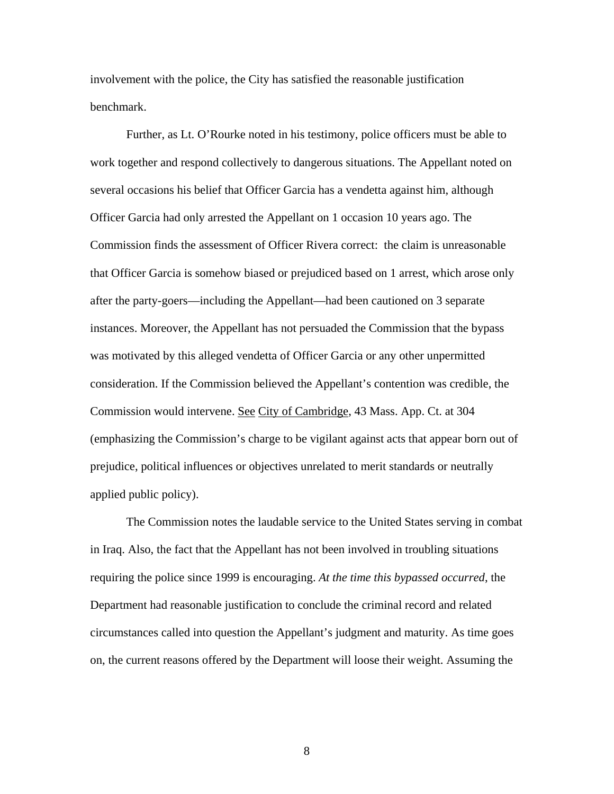involvement with the police, the City has satisfied the reasonable justification benchmark.

 Further, as Lt. O'Rourke noted in his testimony, police officers must be able to work together and respond collectively to dangerous situations. The Appellant noted on several occasions his belief that Officer Garcia has a vendetta against him, although Officer Garcia had only arrested the Appellant on 1 occasion 10 years ago. The Commission finds the assessment of Officer Rivera correct: the claim is unreasonable that Officer Garcia is somehow biased or prejudiced based on 1 arrest, which arose only after the party-goers—including the Appellant—had been cautioned on 3 separate instances. Moreover, the Appellant has not persuaded the Commission that the bypass was motivated by this alleged vendetta of Officer Garcia or any other unpermitted consideration. If the Commission believed the Appellant's contention was credible, the Commission would intervene. See City of Cambridge, 43 Mass. App. Ct. at 304 (emphasizing the Commission's charge to be vigilant against acts that appear born out of prejudice, political influences or objectives unrelated to merit standards or neutrally applied public policy).

The Commission notes the laudable service to the United States serving in combat in Iraq. Also, the fact that the Appellant has not been involved in troubling situations requiring the police since 1999 is encouraging. *At the time this bypassed occurred*, the Department had reasonable justification to conclude the criminal record and related circumstances called into question the Appellant's judgment and maturity. As time goes on, the current reasons offered by the Department will loose their weight. Assuming the